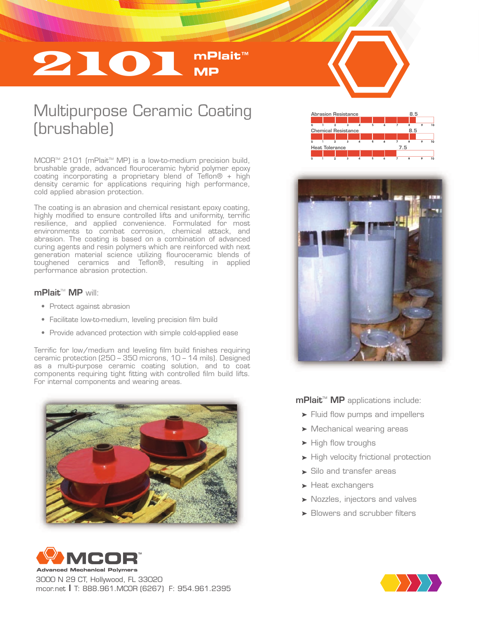# 2101 **mPlait**™ **MP**

## Multipurpose Ceramic Coating (brushable)

MCOR<sup>™</sup> 2101 (mPlait<sup>™</sup> MP) is a low-to-medium precision build, brushable grade, advanced flouroceramic hybrid polymer epoxy coating incorporating a proprietary blend of Teflon® + high density ceramic for applications requiring high performance, cold applied abrasion protection.

The coating is an abrasion and chemical resistant epoxy coating, highly modified to ensure controlled lifts and uniformity, terrific resilience, and applied convenience. Formulated for most environments to combat corrosion, chemical attack, and abrasion. The coating is based on a combination of advanced curing agents and resin polymers which are reinforced with next generation material science utilizing flouroceramic blends of toughened ceramics and Teflon®, resulting in applied performance abrasion protection.

#### mPlait<sup>™</sup> MP will:

- Protect against abrasion
- Facilitate low-to-medium, leveling precision film build
- Provide advanced protection with simple cold-applied ease

Terrific for low/medium and leveling film build finishes requiring ceramic protection (250 – 350 microns, 10 – 14 mils). Designed as a multi-purpose ceramic coating solution, and to coat components requiring tight fitting with controlled film build lifts. For internal components and wearing areas.





3000 N 29 CT, Hollywood, FL 33020 mcor.net I T: 888.961.MCOR (6267) F: 954.961.2395







 $m$ Plait<sup>M</sup> MP applications include:

- **Fluid flow pumps and impellers**
- Mechanical wearing areas
- $\blacktriangleright$  High flow troughs
- $\blacktriangleright$  High velocity frictional protection
- Silo and transfer areas
- Heat exchangers
- Nozzles, injectors and valves
- Blowers and scrubber filters